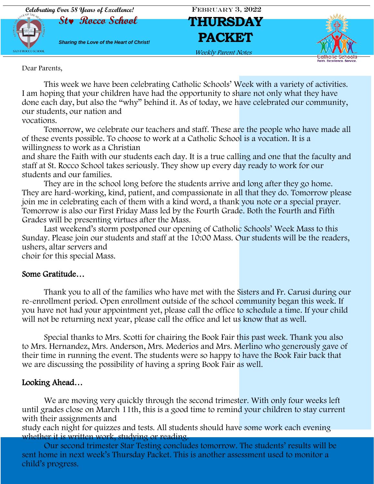

Dear Parents,

This week we have been celebrating Catholic Schools' Week with a variety of activities. I am hoping that your children have had the opportunity to share not only what they have done each day, but also the "why" behind it. As of today, we have celebrated our community, our students, our nation and

vocations.

Tomorrow, we celebrate our teachers and staff. These are the people who have made all of these events possible. To choose to work at a Catholic School is a vocation. It is a willingness to work as a Christian

and share the Faith with our students each day. It is a true calling and one that the faculty and staff at St. Rocco School takes seriously. They show up every day ready to work for our students and our families.

They are in the school long before the students arrive and long after they go home. They are hard-working, kind, patient, and compassionate in all that they do. Tomorrow please join me in celebrating each of them with a kind word, a thank you note or a special prayer. Tomorrow is also our First Friday Mass led by the Fourth Grade. Both the Fourth and Fifth Grades will be presenting virtues after the Mass.

Last weekend's storm postponed our opening of Catholic Schools' Week Mass to this Sunday. Please join our students and staff at the 10:00 Mass. Our students will be the readers, ushers, altar servers and

choir for this special Mass.

### Some Gratitude…

Thank you to all of the families who have met with the Sisters and Fr. Carusi during our re-enrollment period. Open enrollment outside of the school community began this week. If you have not had your appointment yet, please call the office to schedule a time. If your child will not be returning next year, please call the office and let us know that as well.

Special thanks to Mrs. Scotti for chairing the Book Fair this past week. Thank you also to Mrs. Hernandez, Mrs. Anderson, Mrs. Mederios and Mrs. Merlino who generously gave of their time in running the event. The students were so happy to have the Book Fair back that we are discussing the possibility of having a spring Book Fair as well.

### Looking Ahead…

We are moving very quickly through the second trimester. With only four weeks left until grades close on March 11th, this is a good time to remind your children to stay current with their assignments and

study each night for quizzes and tests. All students should have some work each evening whether it is written work, studying or reading.

Our second trimester Star Testing concludes tomorrow. The students' results will be sent home in next week's Thursday Packet. This is another assessment used to monitor a child's progress.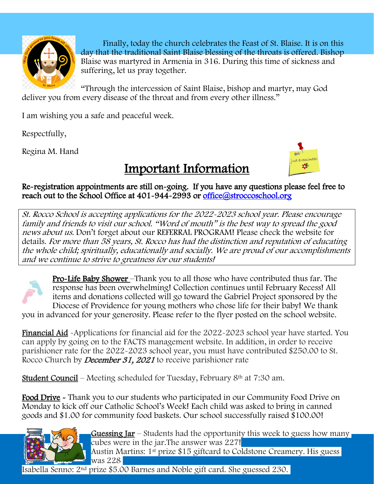

Finally, today the church celebrates the Feast of St. Blaise. It is on this day that the traditional Saint Blaise blessing of the throats is offered. Bishop Blaise was martyred in Armenia in 316. During this time of sickness and suffering, let us pray together.

"Through the intercession of Saint Blaise, bishop and martyr, may God deliver you from every disease of the throat and from every other illness."

I am wishing you a safe and peaceful week.

Respectfully,

Regina M. Hand



Important Information

Re-registration appointments are still on-going. If you have any questions please feel free to reach out to the School Office at 401-944-2993 or office@stroccoschool.org l

St. Rocco School is accepting applications for the 2022-2023 school year. Please encourage family and friends to visit our school. "Word of mouth" is the best way to spread the good news about us. Don't forget about our REFERRAL PROGRAM! Please check the website for details. For more than 58 years, St. Rocco has had the distinction and reputation of educating the whole child; spiritually, educationally and socially. We are proud of our accomplishments and we continue to strive to greatness for our students!



Pro-Life Baby Shower –Thank you to all those who have contributed thus far. The response has been overwhelming! Collection continues until February Recess! All items and donations collected will go toward the Gabriel Project sponsored by the Diocese of Providence for young mothers who chose life for their baby! We thank

you in advanced for your generosity. Please refer to the flyer posted on the school website.

Financial Aid -Applications for financial aid for the 2022-2023 school year have started. You can apply by going on to the FACTS management website. In addition, in order to receive parishioner rate for the 2022-2023 school year, you must have contributed \$250.00 to St. Rocco Church by *December 31, 2021* to receive parishioner rate

**Student Council** – Meeting scheduled for Tuesday, February  $8<sup>th</sup>$  at 7:30 am.

Food Drive - Thank you to our students who participated in our Community Food Drive on Monday to kick off our Catholic School's Week! Each child was asked to bring in canned goods and \$1.00 for community food baskets. Our school successfully raised \$100.00!



**Guessing Jar** – Students had the opportunity this week to guess how many cubes were in the jar.The answer was 227!

Austin Martins: 1<sup>st</sup> prize \$15 giftcard to Coldstone Creamery. His guess was 228

Isabella Senno: 2nd prize \$5.00 Barnes and Noble gift card. She guessed 230.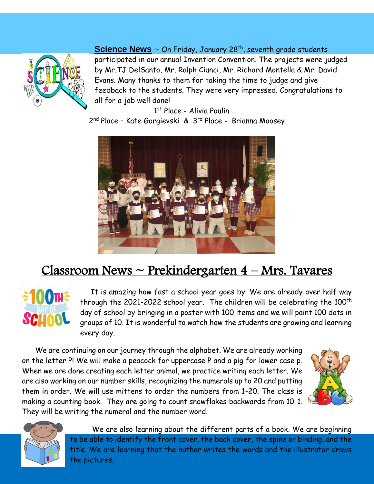

### **Science News** ~ On Friday, January 28<sup>th</sup>, seventh grade students

participated in our annual Invention Convention. The projects were judged by Mr.TJ DelSanto, Mr. Ralph Ciunci, Mr. Richard Montella & Mr. David Evans. Many thanks to them for taking the time to judge and give feedback to the students. They were very impressed. Congratulations to all for a job well done!

1 st Place - Alivia Poulin 2<sup>nd</sup> Place - Kate Gorgievski & 3<sup>rd</sup> Place - Brianna Moosey



## Classroom News ~ Prekindergarten 4 – Mrs. Tavares



 It is amazing how fast a school year goes by! We are already over half way through the 2021-2022 school year. The children will be celebrating the  $100<sup>th</sup>$ day of school by bringing in a poster with 100 items and we will paint 100 dots in groups of 10. It is wonderful to watch how the students are growing and learning every day.

 We are continuing on our journey through the alphabet. We are already working on the letter P! We will make a peacock for uppercase P and a pig for lower case p. When we are done creating each letter animal, we practice writing each letter. We are also working on our number skills, recognizing the numerals up to 20 and putting them in order. We will use mittens to order the numbers from 1-20. The class is making a counting book. They are going to count snowflakes backwards from 10-1. They will be writing the numeral and the number word.





We are also learning about the different parts of a book. We are beginning to be able to identify the front cover, the back cover, the spine or binding, and the title. We are learning that the author writes the words and the illustrator draws the pictures.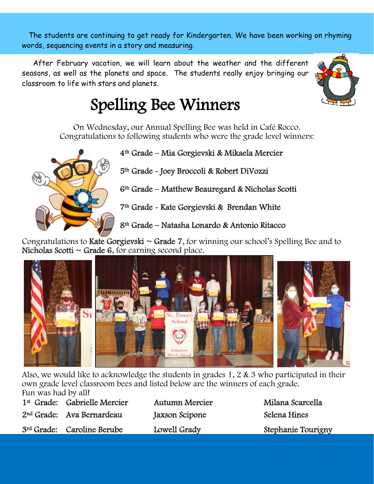The students are continuing to get ready for Kindergarten. We have been working on rhyming words, sequencing events in a story and measuring.

 After February vacation, we will learn about the weather and the different seasons, as well as the planets and space. The students really enjoy bringing our classroom to life with stars and planets.



On Wednesday, our Annual Spelling Bee was held in Café Rocco. Congratulations to following students who were the grade level winners:



4th Grade – Mia Gorgievski & Mikaela Mercier

5th Grade - Joey Broccoli & Robert DiVozzi

6th Grade – Matthew Beauregard & Nicholas Scotti

7th Grade - Kate Gorgievski & Brendan White

8th Grade – Natasha Lonardo & Antonio Ritacco

Congratulations to Kate Gorgievski  $\sim$  Grade 7, for winning our school's Spelling Bee and to Nicholas Scotti  $\sim$  Grade 6, for earning second place.



Also, we would like to acknowledge the students in grades 1, 2 & 3 who participated in their own grade level classroom bees and listed below are the winners of each grade. Fun was had by all!

| 1 <sup>st</sup> Grade: Gabrielle Mercier | <b>Autumn Mercier</b> |
|------------------------------------------|-----------------------|
| 2 <sup>nd</sup> Grade: Ava Bernardeau    | Jaxson Scipone        |
| 3rd Grade: Caroline Berube               | Lowell Grady          |

Milana Scarcella Selena Hines Stephanie Tourigny